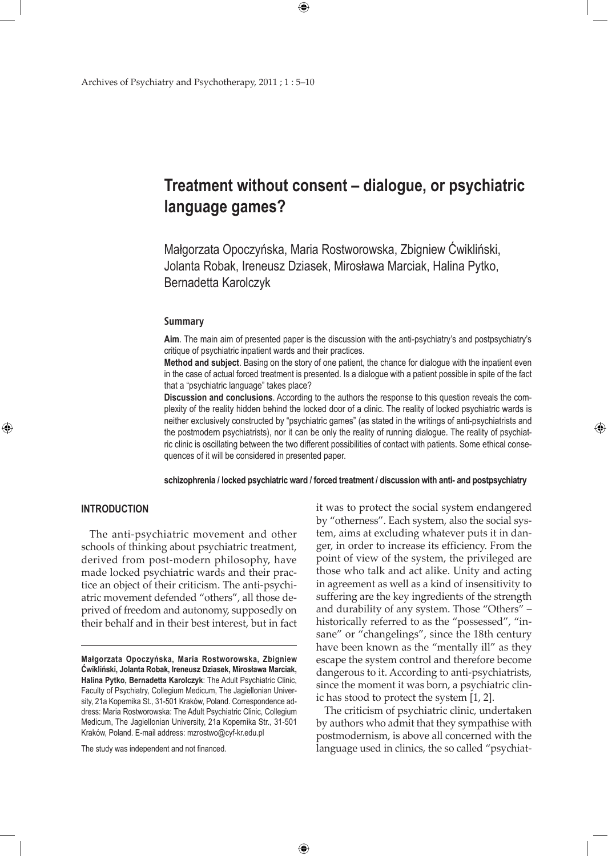# **Treatment without consent – dialogue, or psychiatric language games?**

 $\bigoplus$ 

Małgorzata Opoczyńska, Maria Rostworowska, Zbigniew Ćwikliński, Jolanta Robak, Ireneusz Dziasek, Mirosława Marciak, Halina Pytko, Bernadetta Karolczyk

#### **Summary**

**Aim**. The main aim of presented paper is the discussion with the anti-psychiatry's and postpsychiatry's critique of psychiatric inpatient wards and their practices.

**Method and subject**. Basing on the story of one patient, the chance for dialogue with the inpatient even in the case of actual forced treatment is presented. Is a dialogue with a patient possible in spite of the fact that a "psychiatric language" takes place?

**Discussion and conclusions**. According to the authors the response to this question reveals the complexity of the reality hidden behind the locked door of a clinic. The reality of locked psychiatric wards is neither exclusively constructed by "psychiatric games" (as stated in the writings of anti-psychiatrists and the postmodern psychiatrists), nor it can be only the reality of running dialogue. The reality of psychiatric clinic is oscillating between the two different possibilities of contact with patients. Some ethical consequences of it will be considered in presented paper.

**schizophrenia / locked psychiatric ward / forced treatment / discussion with anti- and postpsychiatry**

# **Introduction**

⊕

The anti-psychiatric movement and other schools of thinking about psychiatric treatment, derived from post-modern philosophy, have made locked psychiatric wards and their practice an object of their criticism. The anti-psychiatric movement defended "others", all those deprived of freedom and autonomy, supposedly on their behalf and in their best interest, but in fact

The study was independent and not financed.

it was to protect the social system endangered by "otherness". Each system, also the social system, aims at excluding whatever puts it in danger, in order to increase its efficiency. From the point of view of the system, the privileged are those who talk and act alike. Unity and acting in agreement as well as a kind of insensitivity to suffering are the key ingredients of the strength and durability of any system. Those "Others" – historically referred to as the "possessed", "insane" or "changelings", since the 18th century have been known as the "mentally ill" as they escape the system control and therefore become dangerous to it. According to anti-psychiatrists, since the moment it was born, a psychiatric clinic has stood to protect the system [1, 2].

⊕

The criticism of psychiatric clinic, undertaken by authors who admit that they sympathise with postmodernism, is above all concerned with the language used in clinics, the so called "psychiat-

 $\bigoplus$ 

**Małgorzata Opoczyńska, Maria Rostworowska, Zbigniew Ćwikliński, Jolanta Robak, Ireneusz Dziasek, Mirosława Marciak, Halina Pytko, Bernadetta Karolczyk**: The Adult Psychiatric Clinic, Faculty of Psychiatry, Collegium Medicum, The Jagiellonian University, 21a Kopernika St., 31-501 Kraków, Poland. Correspondence address: Maria Rostworowska: The Adult Psychiatric Clinic, Collegium Medicum, The Jagiellonian University, 21a Kopernika Str., 31-501 Kraków, Poland. E-mail address: mzrostwo@cyf-kr.edu.pl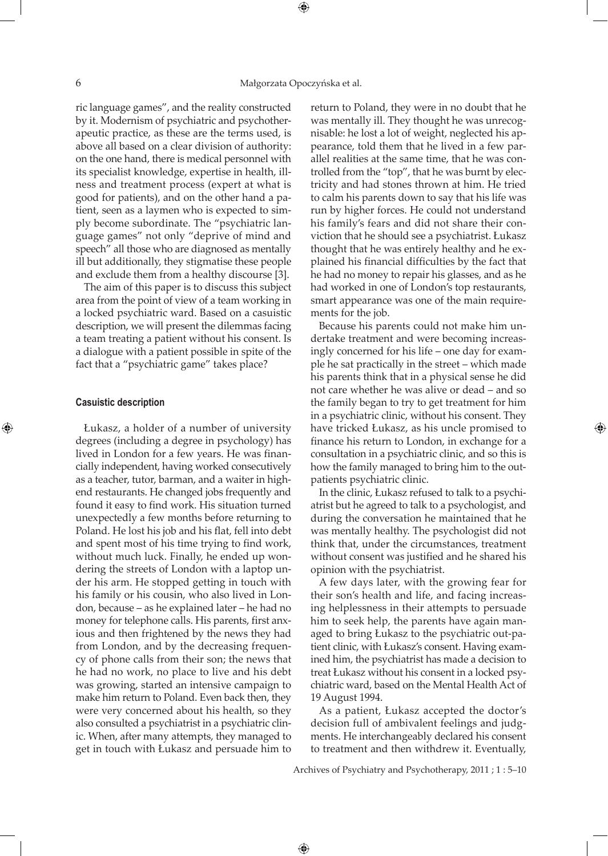ric language games", and the reality constructed by it. Modernism of psychiatric and psychotherapeutic practice, as these are the terms used, is above all based on a clear division of authority: on the one hand, there is medical personnel with its specialist knowledge, expertise in health, illness and treatment process (expert at what is good for patients), and on the other hand a patient, seen as a laymen who is expected to simply become subordinate. The "psychiatric language games" not only "deprive of mind and speech" all those who are diagnosed as mentally ill but additionally, they stigmatise these people and exclude them from a healthy discourse [3].

The aim of this paper is to discuss this subject area from the point of view of a team working in a locked psychiatric ward. Based on a casuistic description, we will present the dilemmas facing a team treating a patient without his consent. Is a dialogue with a patient possible in spite of the fact that a "psychiatric game" takes place?

#### **Casuistic description**

⊕

Łukasz, a holder of a number of university degrees (including a degree in psychology) has lived in London for a few years. He was financially independent, having worked consecutively as a teacher, tutor, barman, and a waiter in highend restaurants. He changed jobs frequently and found it easy to find work. His situation turned unexpectedly a few months before returning to Poland. He lost his job and his flat, fell into debt and spent most of his time trying to find work, without much luck. Finally, he ended up wondering the streets of London with a laptop under his arm. He stopped getting in touch with his family or his cousin, who also lived in London, because – as he explained later – he had no money for telephone calls. His parents, first anxious and then frightened by the news they had from London, and by the decreasing frequency of phone calls from their son; the news that he had no work, no place to live and his debt was growing, started an intensive campaign to make him return to Poland. Even back then, they were very concerned about his health, so they also consulted a psychiatrist in a psychiatric clinic. When, after many attempts, they managed to get in touch with Łukasz and persuade him to

return to Poland, they were in no doubt that he was mentally ill. They thought he was unrecognisable: he lost a lot of weight, neglected his appearance, told them that he lived in a few parallel realities at the same time, that he was controlled from the "top", that he was burnt by electricity and had stones thrown at him. He tried to calm his parents down to say that his life was run by higher forces. He could not understand his family's fears and did not share their conviction that he should see a psychiatrist. Łukasz thought that he was entirely healthy and he explained his financial difficulties by the fact that he had no money to repair his glasses, and as he had worked in one of London's top restaurants, smart appearance was one of the main requirements for the job.

Because his parents could not make him undertake treatment and were becoming increasingly concerned for his life – one day for example he sat practically in the street – which made his parents think that in a physical sense he did not care whether he was alive or dead – and so the family began to try to get treatment for him in a psychiatric clinic, without his consent. They have tricked Łukasz, as his uncle promised to finance his return to London, in exchange for a consultation in a psychiatric clinic, and so this is how the family managed to bring him to the outpatients psychiatric clinic.

In the clinic, Łukasz refused to talk to a psychiatrist but he agreed to talk to a psychologist, and during the conversation he maintained that he was mentally healthy. The psychologist did not think that, under the circumstances, treatment without consent was justified and he shared his opinion with the psychiatrist.

A few days later, with the growing fear for their son's health and life, and facing increasing helplessness in their attempts to persuade him to seek help, the parents have again managed to bring Łukasz to the psychiatric out-patient clinic, with Łukasz's consent. Having examined him, the psychiatrist has made a decision to treat Łukasz without his consent in a locked psychiatric ward, based on the Mental Health Act of 19 August 1994.

As a patient, Łukasz accepted the doctor's decision full of ambivalent feelings and judgments. He interchangeably declared his consent to treatment and then withdrew it. Eventually,

Archives of Psychiatry and Psychotherapy, 2011 ; 1 : 5–10

⊕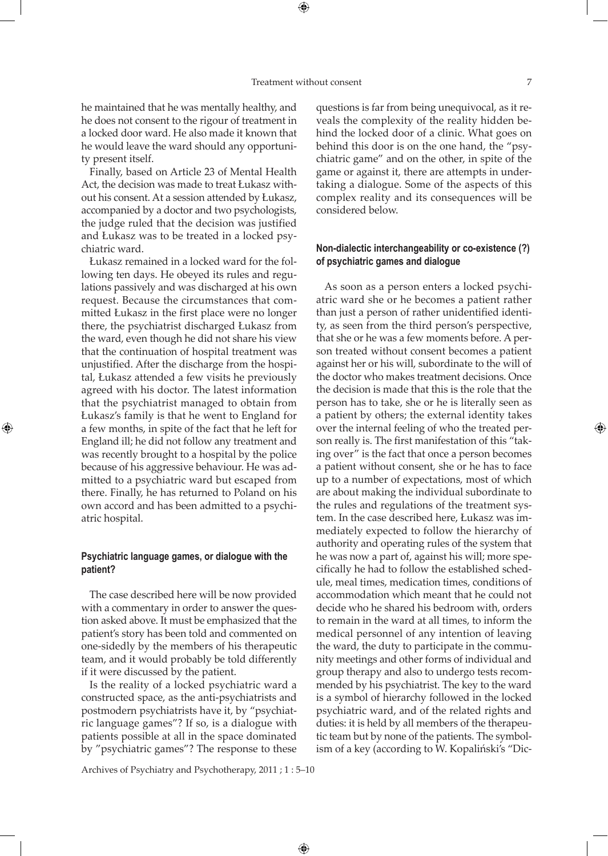⊕

he maintained that he was mentally healthy, and he does not consent to the rigour of treatment in a locked door ward. He also made it known that he would leave the ward should any opportunity present itself.

Finally, based on Article 23 of Mental Health Act, the decision was made to treat Łukasz without his consent. At a session attended by Łukasz, accompanied by a doctor and two psychologists, the judge ruled that the decision was justified and Łukasz was to be treated in a locked psychiatric ward.

Łukasz remained in a locked ward for the following ten days. He obeyed its rules and regulations passively and was discharged at his own request. Because the circumstances that committed Łukasz in the first place were no longer there, the psychiatrist discharged Łukasz from the ward, even though he did not share his view that the continuation of hospital treatment was unjustified. After the discharge from the hospital, Łukasz attended a few visits he previously agreed with his doctor. The latest information that the psychiatrist managed to obtain from Łukasz's family is that he went to England for a few months, in spite of the fact that he left for England ill; he did not follow any treatment and was recently brought to a hospital by the police because of his aggressive behaviour. He was admitted to a psychiatric ward but escaped from there. Finally, he has returned to Poland on his own accord and has been admitted to a psychiatric hospital.

⊕

# **Psychiatric language games, or dialogue with the patient?**

The case described here will be now provided with a commentary in order to answer the question asked above. It must be emphasized that the patient's story has been told and commented on one-sidedly by the members of his therapeutic team, and it would probably be told differently if it were discussed by the patient.

Is the reality of a locked psychiatric ward a constructed space, as the anti-psychiatrists and postmodern psychiatrists have it, by "psychiatric language games"? If so, is a dialogue with patients possible at all in the space dominated by "psychiatric games"? The response to these

questions is far from being unequivocal, as it reveals the complexity of the reality hidden behind the locked door of a clinic. What goes on behind this door is on the one hand, the "psychiatric game" and on the other, in spite of the game or against it, there are attempts in undertaking a dialogue. Some of the aspects of this complex reality and its consequences will be considered below.

## **Non-dialectic interchangeability or co-existence (?) of psychiatric games and dialogue**

As soon as a person enters a locked psychiatric ward she or he becomes a patient rather than just a person of rather unidentified identity, as seen from the third person's perspective, that she or he was a few moments before. A person treated without consent becomes a patient against her or his will, subordinate to the will of the doctor who makes treatment decisions. Once the decision is made that this is the role that the person has to take, she or he is literally seen as a patient by others; the external identity takes over the internal feeling of who the treated person really is. The first manifestation of this "taking over" is the fact that once a person becomes a patient without consent, she or he has to face up to a number of expectations, most of which are about making the individual subordinate to the rules and regulations of the treatment system. In the case described here, Łukasz was immediately expected to follow the hierarchy of authority and operating rules of the system that he was now a part of, against his will; more specifically he had to follow the established schedule, meal times, medication times, conditions of accommodation which meant that he could not decide who he shared his bedroom with, orders to remain in the ward at all times, to inform the medical personnel of any intention of leaving the ward, the duty to participate in the community meetings and other forms of individual and group therapy and also to undergo tests recommended by his psychiatrist. The key to the ward is a symbol of hierarchy followed in the locked psychiatric ward, and of the related rights and duties: it is held by all members of the therapeutic team but by none of the patients. The symbolism of a key (according to W. Kopaliński's "Dic-

Archives of Psychiatry and Psychotherapy, 2011 ; 1 : 5–10

 $\bigoplus$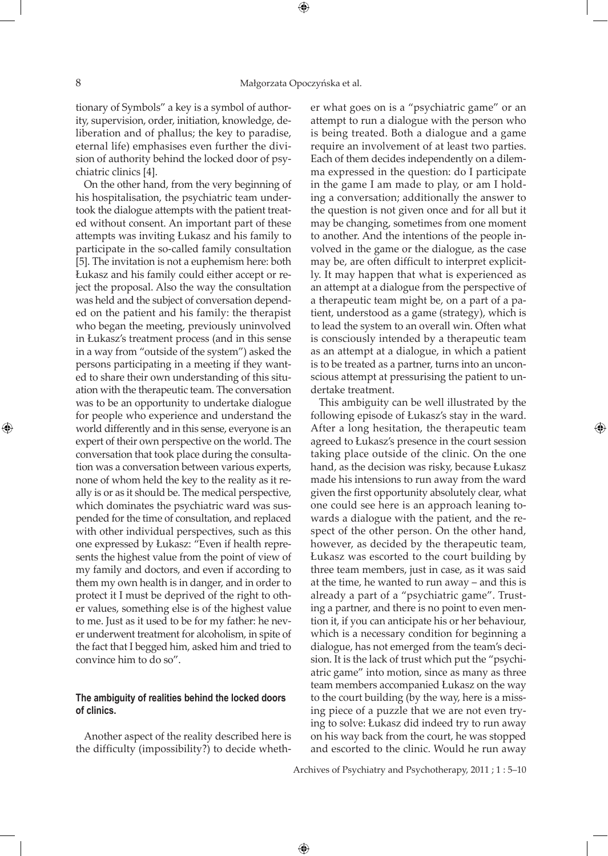⊕

tionary of Symbols" a key is a symbol of authority, supervision, order, initiation, knowledge, deliberation and of phallus; the key to paradise, eternal life) emphasises even further the division of authority behind the locked door of psychiatric clinics [4].

On the other hand, from the very beginning of his hospitalisation, the psychiatric team undertook the dialogue attempts with the patient treated without consent. An important part of these attempts was inviting Łukasz and his family to participate in the so-called family consultation [5]. The invitation is not a euphemism here: both Łukasz and his family could either accept or reject the proposal. Also the way the consultation was held and the subject of conversation depended on the patient and his family: the therapist who began the meeting, previously uninvolved in Łukasz's treatment process (and in this sense in a way from "outside of the system") asked the persons participating in a meeting if they wanted to share their own understanding of this situation with the therapeutic team. The conversation was to be an opportunity to undertake dialogue for people who experience and understand the world differently and in this sense, everyone is an expert of their own perspective on the world. The conversation that took place during the consultation was a conversation between various experts, none of whom held the key to the reality as it really is or as it should be. The medical perspective, which dominates the psychiatric ward was suspended for the time of consultation, and replaced with other individual perspectives, such as this one expressed by Łukasz: "Even if health represents the highest value from the point of view of my family and doctors, and even if according to them my own health is in danger, and in order to protect it I must be deprived of the right to other values, something else is of the highest value to me. Just as it used to be for my father: he never underwent treatment for alcoholism, in spite of the fact that I begged him, asked him and tried to convince him to do so".

## **The ambiguity of realities behind the locked doors of clinics.**

Another aspect of the reality described here is the difficulty (impossibility?) to decide whether what goes on is a "psychiatric game" or an attempt to run a dialogue with the person who is being treated. Both a dialogue and a game require an involvement of at least two parties. Each of them decides independently on a dilemma expressed in the question: do I participate in the game I am made to play, or am I holding a conversation; additionally the answer to the question is not given once and for all but it may be changing, sometimes from one moment to another. And the intentions of the people involved in the game or the dialogue, as the case may be, are often difficult to interpret explicitly. It may happen that what is experienced as an attempt at a dialogue from the perspective of a therapeutic team might be, on a part of a patient, understood as a game (strategy), which is to lead the system to an overall win. Often what is consciously intended by a therapeutic team as an attempt at a dialogue, in which a patient is to be treated as a partner, turns into an unconscious attempt at pressurising the patient to undertake treatment.

This ambiguity can be well illustrated by the following episode of Łukasz's stay in the ward. After a long hesitation, the therapeutic team agreed to Łukasz's presence in the court session taking place outside of the clinic. On the one hand, as the decision was risky, because Łukasz made his intensions to run away from the ward given the first opportunity absolutely clear, what one could see here is an approach leaning towards a dialogue with the patient, and the respect of the other person. On the other hand, however, as decided by the therapeutic team, Łukasz was escorted to the court building by three team members, just in case, as it was said at the time, he wanted to run away – and this is already a part of a "psychiatric game". Trusting a partner, and there is no point to even mention it, if you can anticipate his or her behaviour, which is a necessary condition for beginning a dialogue, has not emerged from the team's decision. It is the lack of trust which put the "psychiatric game" into motion, since as many as three team members accompanied Łukasz on the way to the court building (by the way, here is a missing piece of a puzzle that we are not even trying to solve: Łukasz did indeed try to run away on his way back from the court, he was stopped and escorted to the clinic. Would he run away

Archives of Psychiatry and Psychotherapy, 2011 ; 1 : 5–10

 $\bigoplus$ 

⊕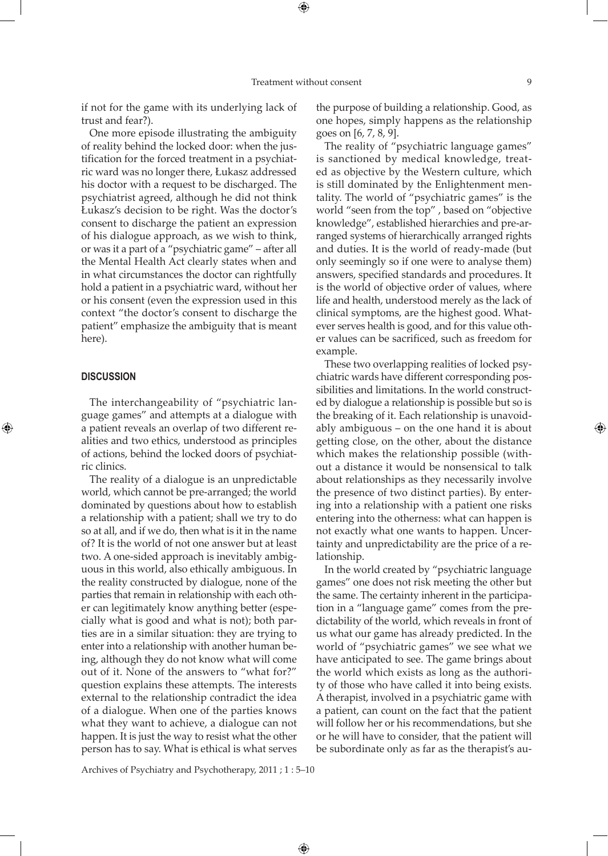if not for the game with its underlying lack of trust and fear?).

One more episode illustrating the ambiguity of reality behind the locked door: when the justification for the forced treatment in a psychiatric ward was no longer there, Łukasz addressed his doctor with a request to be discharged. The psychiatrist agreed, although he did not think Łukasz's decision to be right. Was the doctor's consent to discharge the patient an expression of his dialogue approach, as we wish to think, or was it a part of a "psychiatric game" – after all the Mental Health Act clearly states when and in what circumstances the doctor can rightfully hold a patient in a psychiatric ward, without her or his consent (even the expression used in this context "the doctor's consent to discharge the patient" emphasize the ambiguity that is meant here).

#### **Discussion**

⊕

The interchangeability of "psychiatric language games" and attempts at a dialogue with a patient reveals an overlap of two different realities and two ethics, understood as principles of actions, behind the locked doors of psychiatric clinics.

The reality of a dialogue is an unpredictable world, which cannot be pre-arranged; the world dominated by questions about how to establish a relationship with a patient; shall we try to do so at all, and if we do, then what is it in the name of? It is the world of not one answer but at least two. A one-sided approach is inevitably ambiguous in this world, also ethically ambiguous. In the reality constructed by dialogue, none of the parties that remain in relationship with each other can legitimately know anything better (especially what is good and what is not); both parties are in a similar situation: they are trying to enter into a relationship with another human being, although they do not know what will come out of it. None of the answers to "what for?" question explains these attempts. The interests external to the relationship contradict the idea of a dialogue. When one of the parties knows what they want to achieve, a dialogue can not happen. It is just the way to resist what the other person has to say. What is ethical is what serves

the purpose of building a relationship. Good, as one hopes, simply happens as the relationship goes on [6, 7, 8, 9].

The reality of "psychiatric language games" is sanctioned by medical knowledge, treated as objective by the Western culture, which is still dominated by the Enlightenment mentality. The world of "psychiatric games" is the world "seen from the top" , based on "objective knowledge", established hierarchies and pre-arranged systems of hierarchically arranged rights and duties. It is the world of ready-made (but only seemingly so if one were to analyse them) answers, specified standards and procedures. It is the world of objective order of values, where life and health, understood merely as the lack of clinical symptoms, are the highest good. Whatever serves health is good, and for this value other values can be sacrificed, such as freedom for example.

These two overlapping realities of locked psychiatric wards have different corresponding possibilities and limitations. In the world constructed by dialogue a relationship is possible but so is the breaking of it. Each relationship is unavoidably ambiguous – on the one hand it is about getting close, on the other, about the distance which makes the relationship possible (without a distance it would be nonsensical to talk about relationships as they necessarily involve the presence of two distinct parties). By entering into a relationship with a patient one risks entering into the otherness: what can happen is not exactly what one wants to happen. Uncertainty and unpredictability are the price of a relationship.

In the world created by "psychiatric language games" one does not risk meeting the other but the same. The certainty inherent in the participation in a "language game" comes from the predictability of the world, which reveals in front of us what our game has already predicted. In the world of "psychiatric games" we see what we have anticipated to see. The game brings about the world which exists as long as the authority of those who have called it into being exists. A therapist, involved in a psychiatric game with a patient, can count on the fact that the patient will follow her or his recommendations, but she or he will have to consider, that the patient will be subordinate only as far as the therapist's au-

Archives of Psychiatry and Psychotherapy, 2011 ; 1 : 5–10

 $\bigoplus$